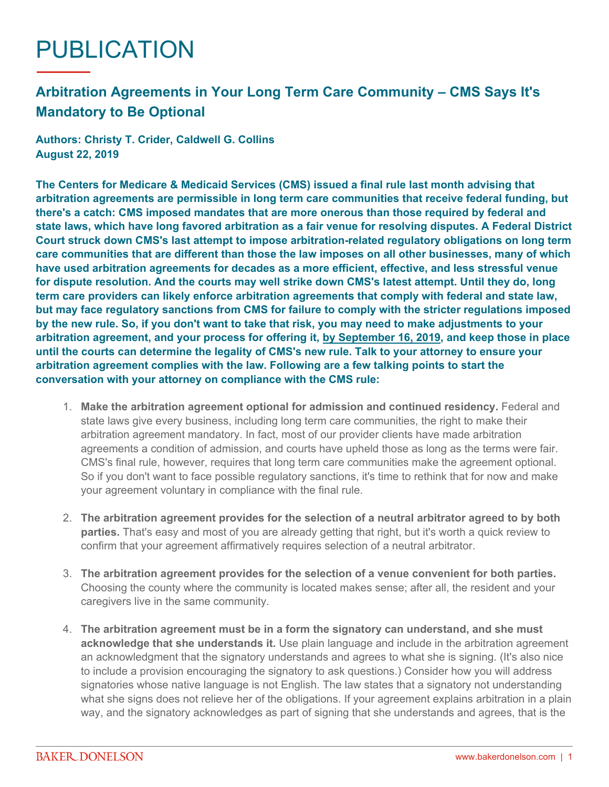## PUBLICATION

## **Arbitration Agreements in Your Long Term Care Community – CMS Says It's Mandatory to Be Optional**

**Authors: Christy T. Crider, Caldwell G. Collins August 22, 2019**

**The Centers for Medicare & Medicaid Services (CMS) issued a final rule last month advising that arbitration agreements are permissible in long term care communities that receive federal funding, but there's a catch: CMS imposed mandates that are more onerous than those required by federal and state laws, which have long favored arbitration as a fair venue for resolving disputes. A Federal District Court struck down CMS's last attempt to impose arbitration-related regulatory obligations on long term care communities that are different than those the law imposes on all other businesses, many of which have used arbitration agreements for decades as a more efficient, effective, and less stressful venue for dispute resolution. And the courts may well strike down CMS's latest attempt. Until they do, long term care providers can likely enforce arbitration agreements that comply with federal and state law, but may face regulatory sanctions from CMS for failure to comply with the stricter regulations imposed by the new rule. So, if you don't want to take that risk, you may need to make adjustments to your arbitration agreement, and your process for offering it, by September 16, 2019, and keep those in place until the courts can determine the legality of CMS's new rule. Talk to your attorney to ensure your arbitration agreement complies with the law. Following are a few talking points to start the conversation with your attorney on compliance with the CMS rule:**

- 1. **Make the arbitration agreement optional for admission and continued residency.** Federal and state laws give every business, including long term care communities, the right to make their arbitration agreement mandatory. In fact, most of our provider clients have made arbitration agreements a condition of admission, and courts have upheld those as long as the terms were fair. CMS's final rule, however, requires that long term care communities make the agreement optional. So if you don't want to face possible regulatory sanctions, it's time to rethink that for now and make your agreement voluntary in compliance with the final rule.
- 2. **The arbitration agreement provides for the selection of a neutral arbitrator agreed to by both parties.** That's easy and most of you are already getting that right, but it's worth a quick review to confirm that your agreement affirmatively requires selection of a neutral arbitrator.
- 3. **The arbitration agreement provides for the selection of a venue convenient for both parties.** Choosing the county where the community is located makes sense; after all, the resident and your caregivers live in the same community.
- 4. **The arbitration agreement must be in a form the signatory can understand, and she must acknowledge that she understands it.** Use plain language and include in the arbitration agreement an acknowledgment that the signatory understands and agrees to what she is signing. (It's also nice to include a provision encouraging the signatory to ask questions.) Consider how you will address signatories whose native language is not English. The law states that a signatory not understanding what she signs does not relieve her of the obligations. If your agreement explains arbitration in a plain way, and the signatory acknowledges as part of signing that she understands and agrees, that is the